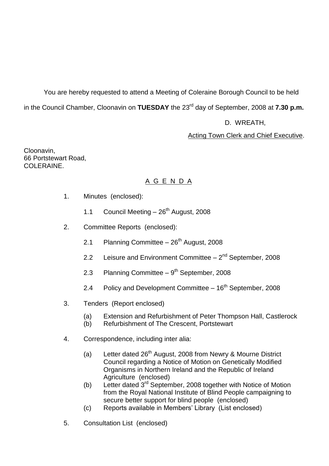You are hereby requested to attend a Meeting of Coleraine Borough Council to be held in the Council Chamber, Cloonavin on **TUESDAY** the 23rd day of September, 2008 at **7.30 p.m.**

# D. WREATH,

# Acting Town Clerk and Chief Executive.

Cloonavin, 66 Portstewart Road, COLERAINE.

# A G E N D A

- 1. Minutes (enclosed):
	- 1.1 Council Meeting  $-26$ <sup>th</sup> August, 2008
- 2. Committee Reports (enclosed):
	- 2.1 Planning Committee  $-26<sup>th</sup>$  August, 2008
	- 2.2 Leisure and Environment Committee 2<sup>nd</sup> September, 2008
	- 2.3 Planning Committee 9<sup>th</sup> September, 2008
	- 2.4 Policy and Development Committee  $-16<sup>th</sup>$  September, 2008
- 3. Tenders (Report enclosed)
	- (a) Extension and Refurbishment of Peter Thompson Hall, Castlerock
	- (b) Refurbishment of The Crescent, Portstewart
- 4. Correspondence, including inter alia:
	- (a) Letter dated 26<sup>th</sup> August, 2008 from Newry & Mourne District Council regarding a Notice of Motion on Genetically Modified Organisms in Northern Ireland and the Republic of Ireland Agriculture (enclosed)
	- (b) Letter dated  $3<sup>rd</sup>$  September, 2008 together with Notice of Motion from the Royal National Institute of Blind People campaigning to secure better support for blind people (enclosed)
	- (c) Reports available in Members' Library (List enclosed)
- 5. Consultation List (enclosed)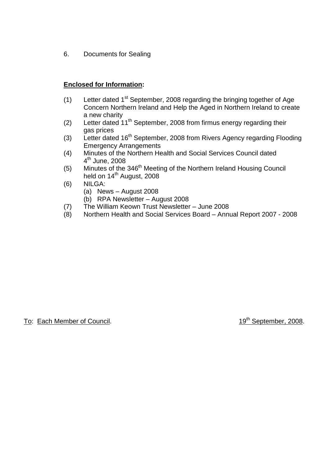6. Documents for Sealing

# **Enclosed for Information:**

- (1) Letter dated  $1<sup>st</sup>$  September, 2008 regarding the bringing together of Age Concern Northern Ireland and Help the Aged in Northern Ireland to create a new charity
- (2) Letter dated  $11<sup>th</sup>$  September, 2008 from firmus energy regarding their gas prices
- (3) Letter dated  $16<sup>th</sup>$  September, 2008 from Rivers Agency regarding Flooding Emergency Arrangements
- (4) Minutes of the Northern Health and Social Services Council dated 4<sup>th</sup> June, 2008
- (5) Minutes of the 346<sup>th</sup> Meeting of the Northern Ireland Housing Council held on 14<sup>th</sup> August, 2008
- (6) NILGA:
	- (a) News  $-$  August 2008
	- (b) RPA Newsletter –August 2008
- (7) The William Keown Trust Newsletter –June 2008
- (8) Northern Health and Social Services Board –Annual Report 2007 2008

To: Each Member of Council. To: Each Member, 2008.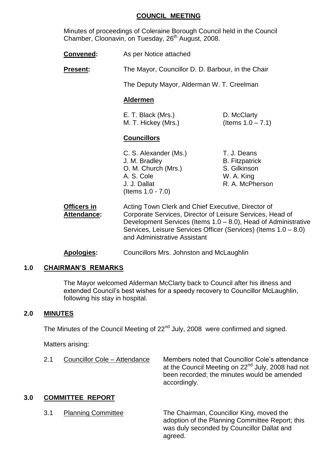#### **COUNCIL MEETING**

Minutes of proceedings of Coleraine Borough Council held in the Council Chamber, Cloonavin, on Tuesday, 26<sup>th</sup> August, 2008.

- **Convened:** As per Notice attached
- **Present:** The Mayor, Councillor D. D. Barbour, in the Chair

The Deputy Mayor, Alderman W. T. Creelman

#### **Aldermen**

E. T. Black (Mrs.) D. McClarty M. T. Hickey (Mrs.) (Items  $1.0 - 7.1$ )

#### **Councillors**

C. S. Alexander (Ms.) T. J. Deans J. M. Bradley B. Fitzpatrick O. M. Church (Mrs.) S. Gilkinson A. S. Cole W. A. King J. J. Dallat R. A. McPherson (Items 1.0 - 7.0)

- 
- **Officers in** Acting Town Clerk and Chief Executive, Director of Attendance: Corporate Services, Director of Leisure Services, Head of Development Services (Items 1.0 – 8.0), Head of Administrative Services, Leisure Services Officer (Services) (Items 1.0 –8.0) and Administrative Assistant
- **Apologies:** Councillors Mrs. Johnston and McLaughlin

# **1.0 CHAIRMAN'S REMARKS**

The Mayor welcomed Alderman McClarty back to Council after his illness and extended Council's best wishes for a speedy recovery to Councillor McLaughlin, following his stay in hospital.

#### **2.0 MINUTES**

The Minutes of the Council Meeting of 22<sup>nd</sup> July, 2008 were confirmed and signed.

Matters arising:

| 2.1 | Councillor Cole - Attendance | Members noted that Councillor Cole's attendance<br>at the Council Meeting on 22 <sup>nd</sup> July, 2008 had not<br>been recorded; the minutes would be amended<br>accordingly. |
|-----|------------------------------|---------------------------------------------------------------------------------------------------------------------------------------------------------------------------------|
|-----|------------------------------|---------------------------------------------------------------------------------------------------------------------------------------------------------------------------------|

#### **3.0 COMMITTEE REPORT**

3.1 Planning Committee The Chairman, Councillor King, moved the adoption of the Planning Committee Report; this was duly seconded by Councillor Dallat and agreed.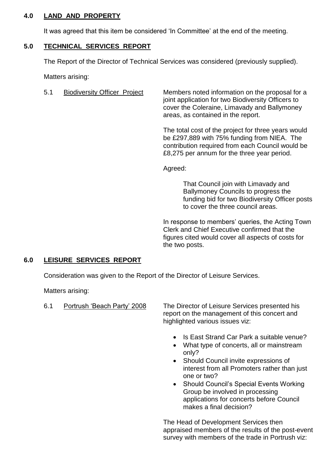# **4.0 LAND AND PROPERTY**

It was agreed that this item be considered 'In Committee' at the end of the meeting.

# **5.0 TECHNICAL SERVICES REPORT**

The Report of the Director of Technical Services was considered (previously supplied).

Matters arising:

5.1 Biodiversity Officer Project Members noted information on the proposal for a joint application for two Biodiversity Officers to cover the Coleraine, Limavady and Ballymoney areas, as contained in the report.

> The total cost of the project for three years would be £297,889 with 75% funding from NIEA. The contribution required from each Council would be £8,275 per annum for the three year period.

Agreed:

That Council join with Limavady and Ballymoney Councils to progress the funding bid for two Biodiversity Officer posts to cover the three council areas.

In response to members' queries, the Acting Town Clerk and Chief Executive confirmed that the figures cited would cover all aspects of costs for the two posts.

# **6.0 LEISURE SERVICES REPORT**

Consideration was given to the Report of the Director of Leisure Services.

Matters arising:

6.1 Portrush 'Beach Party' 2008 The Director of Leisure Services presented his report on the management of this concert and highlighted various issues viz:

- Is East Strand Car Park a suitable venue?
- What type of concerts, all or mainstream only?
- Should Council invite expressions of interest from all Promoters rather than just one or two?
- Should Council's Special Events Working Group be involved in processing applications for concerts before Council makes a final decision?

The Head of Development Services then appraised members of the results of the post-event survey with members of the trade in Portrush viz: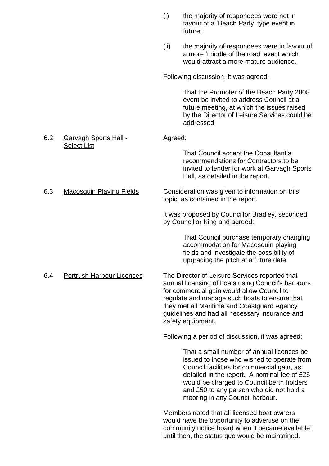|     |                                  | (i)     | the majority of respondees were not in<br>favour of a 'Beach Party' type event in<br>future;                                                                                                                                                                                                                              |
|-----|----------------------------------|---------|---------------------------------------------------------------------------------------------------------------------------------------------------------------------------------------------------------------------------------------------------------------------------------------------------------------------------|
|     |                                  | (ii)    | the majority of respondees were in favour of<br>a more 'middle of the road' event which<br>would attract a more mature audience.                                                                                                                                                                                          |
|     |                                  |         | Following discussion, it was agreed:                                                                                                                                                                                                                                                                                      |
|     |                                  |         | That the Promoter of the Beach Party 2008<br>event be invited to address Council at a<br>future meeting, at which the issues raised<br>by the Director of Leisure Services could be<br>addressed.                                                                                                                         |
| 6.2 | <b>Garvagh Sports Hall -</b>     | Agreed: |                                                                                                                                                                                                                                                                                                                           |
|     | <b>Select List</b>               |         | That Council accept the Consultant's<br>recommendations for Contractors to be<br>invited to tender for work at Garvagh Sports<br>Hall, as detailed in the report.                                                                                                                                                         |
| 6.3 | <b>Macosquin Playing Fields</b>  |         | Consideration was given to information on this<br>topic, as contained in the report.                                                                                                                                                                                                                                      |
|     |                                  |         | It was proposed by Councillor Bradley, seconded<br>by Councillor King and agreed:                                                                                                                                                                                                                                         |
|     |                                  |         | That Council purchase temporary changing<br>accommodation for Macosquin playing<br>fields and investigate the possibility of<br>upgrading the pitch at a future date.                                                                                                                                                     |
| 6.4 | <b>Portrush Harbour Licences</b> |         | The Director of Leisure Services reported that<br>annual licensing of boats using Council's harbours<br>for commercial gain would allow Council to<br>regulate and manage such boats to ensure that<br>they met all Maritime and Coastguard Agency<br>guidelines and had all necessary insurance and<br>safety equipment. |
|     |                                  |         | Following a period of discussion, it was agreed:                                                                                                                                                                                                                                                                          |
|     |                                  |         | That a small number of annual licences be<br>issued to those who wished to operate from<br>Council facilities for commercial gain, as<br>detailed in the report. A nominal fee of £25<br>would be charged to Council berth holders<br>and £50 to any person who did not hold a<br>mooring in any Council harbour.         |
|     |                                  |         | Members noted that all licensed boat owners<br>would have the opportunity to advertise on the                                                                                                                                                                                                                             |

would have the opportunity to advertise on the community notice board when it became available; until then, the status quo would be maintained.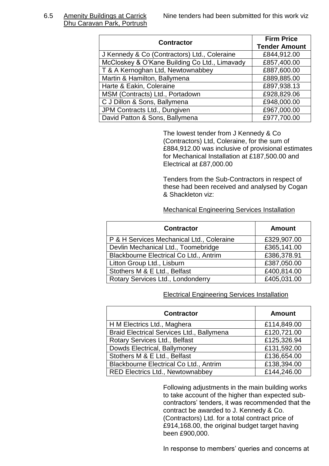Dhu Caravan Park, Portrush

| <b>Contractor</b>                             | <b>Firm Price</b><br><b>Tender Amount</b> |
|-----------------------------------------------|-------------------------------------------|
| J Kennedy & Co (Contractors) Ltd., Coleraine  | £844,912.00                               |
| McCloskey & O'Kane Building Co Ltd., Limavady | £857,400.00                               |
| T & A Kernoghan Ltd, Newtownabbey             | £887,600.00                               |
| Martin & Hamilton, Ballymena                  | £889,885.00                               |
| Harte & Eakin, Coleraine                      | £897,938.13                               |
| MSM (Contracts) Ltd., Portadown               | £928,829.06                               |
| C J Dillon & Sons, Ballymena                  | £948,000.00                               |
| JPM Contracts Ltd., Dungiven                  | £967,000.00                               |
| David Patton & Sons, Ballymena                | £977,700.00                               |

The lowest tender from J Kennedy & Co (Contractors) Ltd, Coleraine, for the sum of £884,912.00 was inclusive of provisional estimates for Mechanical Installation at £187,500.00 and Electrical at £87,000.00

Tenders from the Sub-Contractors in respect of these had been received and analysed by Cogan & Shackleton viz:

#### Mechanical Engineering Services Installation

| <b>Contractor</b>                         | <b>Amount</b> |
|-------------------------------------------|---------------|
| P & H Services Mechanical Ltd., Coleraine | £329,907.00   |
| Devlin Mechanical Ltd., Toomebridge       | £365,141.00   |
| Blackbourne Electrical Co Ltd., Antrim    | £386,378.91   |
| Litton Group Ltd., Lisburn                | £387,050.00   |
| Stothers M & E Ltd., Belfast              | £400,814.00   |
| Rotary Services Ltd., Londonderry         | £405,031.00   |

#### Electrical Engineering Services Installation

| <b>Contractor</b>                         | <b>Amount</b> |
|-------------------------------------------|---------------|
| H M Electrics Ltd., Maghera               | £114,849.00   |
| Braid Electrical Services Ltd., Ballymena | £120,721.00   |
| Rotary Services Ltd., Belfast             | £125,326.94   |
| Dowds Electrical, Ballymoney              | £131,592.00   |
| Stothers M & E Ltd., Belfast              | £136,654.00   |
| Blackbourne Electrical Co Ltd., Antrim    | £138,394.00   |
| <b>RED Electrics Ltd., Newtownabbey</b>   | £144,246.00   |

Following adjustments in the main building works to take account of the higher than expected subcontractors' tenders, it was recommended that the contract be awarded to J. Kennedy & Co. (Contractors) Ltd. for a total contract price of £914,168.00, the original budget target having been £900,000.

In response to members' queries and concerns at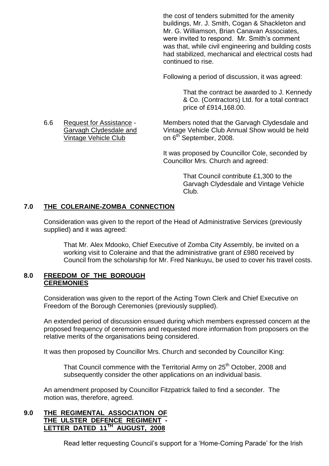the cost of tenders submitted for the amenity buildings, Mr. J. Smith, Cogan & Shackleton and Mr. G. Williamson, Brian Canavan Associates, were invited to respond. Mr. Smith's comment was that, while civil engineering and building costs had stabilized, mechanical and electrical costs had continued to rise.

Following a period of discussion, it was agreed:

That the contract be awarded to J. Kennedy & Co. (Contractors) Ltd. for a total contract price of £914,168.00.

6.6 Request for Assistance - Members noted that the Garvagh Clydesdale and Garvagh Clydesdale and Vintage Vehicle Club Annual Show would be held

> It was proposed by Councillor Cole, seconded by Councillor Mrs. Church and agreed:

> > That Council contribute £1,300 to the Garvagh Clydesdale and Vintage Vehicle Club.

# **7.0 THE COLERAINE-ZOMBA CONNECTION**

Consideration was given to the report of the Head of Administrative Services (previously supplied) and it was agreed:

That Mr. Alex Mdooko, Chief Executive of Zomba City Assembly, be invited on a working visit to Coleraine and that the administrative grant of £980 received by Council from the scholarship for Mr. Fred Nankuyu, be used to cover his travel costs.

# **8.0 FREEDOM OF THE BOROUGH CEREMONIES**

Consideration was given to the report of the Acting Town Clerk and Chief Executive on Freedom of the Borough Ceremonies (previously supplied).

An extended period of discussion ensued during which members expressed concern at the proposed frequency of ceremonies and requested more information from proposers on the relative merits of the organisations being considered.

It was then proposed by Councillor Mrs. Church and seconded by Councillor King:

That Council commence with the Territorial Army on 25<sup>th</sup> October, 2008 and subsequently consider the other applications on an individual basis.

An amendment proposed by Councillor Fitzpatrick failed to find a seconder. The motion was, therefore, agreed.

# **9.0 THE REGIMENTAL ASSOCIATION OF THE ULSTER DEFENCE REGIMENT - LETTER DATED 11TH AUGUST, 2008**

Read letter requesting Council's support for a 'Home-Coming Parade' for the Irish

Vintage Vehicle Club on 6<sup>th</sup> September, 2008.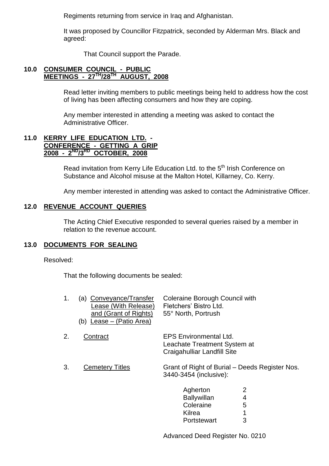Regiments returning from service in Iraq and Afghanistan.

It was proposed by Councillor Fitzpatrick, seconded by Alderman Mrs. Black and agreed:

That Council support the Parade.

# **10.0 CONSUMER COUNCIL - PUBLIC MEETINGS - 27TH/28TH AUGUST, 2008**

Read letter inviting members to public meetings being held to address how the cost of living has been affecting consumers and how they are coping.

Any member interested in attending a meeting was asked to contact the Administrative Officer.

# **11.0 KERRY LIFE EDUCATION LTD. - CONFERENCE - GETTING A GRIP 2008 - 2 ND/3RD OCTOBER, 2008**

Read invitation from Kerry Life Education Ltd. to the 5<sup>th</sup> Irish Conference on Substance and Alcohol misuse at the Malton Hotel, Killarney, Co. Kerry.

Any member interested in attending was asked to contact the Administrative Officer.

# **12.0 REVENUE ACCOUNT QUERIES**

The Acting Chief Executive responded to several queries raised by a member in relation to the revenue account.

# **13.0 DOCUMENTS FOR SEALING**

# Resolved:

That the following documents be sealed:

| 1. | (a) Conveyance/Transfer<br>Lease (With Release)<br>and (Grant of Rights)<br>Lease – (Patio Area)<br>(b) | <b>Coleraine Borough Council with</b><br>Fletchers' Bistro Ltd.<br>55° North, Portrush       |
|----|---------------------------------------------------------------------------------------------------------|----------------------------------------------------------------------------------------------|
| 2. | Contract                                                                                                | <b>EPS Environmental Ltd.</b><br>Leachate Treatment System at<br>Craigahulliar Landfill Site |
| 3. | <b>Cemetery Titles</b>                                                                                  | Grant of Right of Burial – Deeds Register Nos.<br>3440-3454 (inclusive):                     |
|    |                                                                                                         | 2<br>Agherton<br>4<br><b>Ballywillan</b><br>Coleraine<br>5<br>1<br>Kilrea                    |
|    |                                                                                                         | 3<br>Portstewart                                                                             |

Advanced Deed Register No. 0210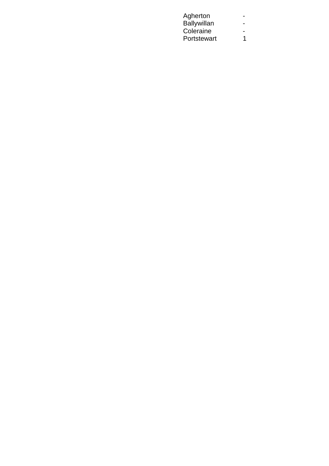| Agherton    |  |
|-------------|--|
| Ballywillan |  |
| Coleraine   |  |
| Portstewart |  |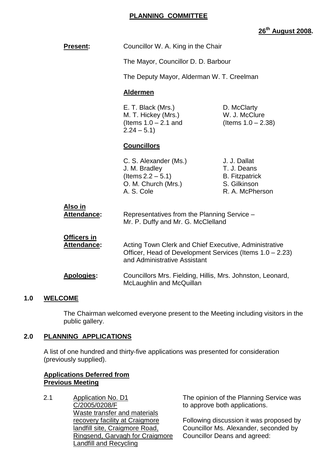# **PLANNING COMMITTEE**

# **26th August 2008.**

| <b>Present:</b>                   | Councillor W. A. King in the Chair                                                                                                                |                                                                                         |  |
|-----------------------------------|---------------------------------------------------------------------------------------------------------------------------------------------------|-----------------------------------------------------------------------------------------|--|
|                                   | The Mayor, Councillor D. D. Barbour                                                                                                               |                                                                                         |  |
|                                   | The Deputy Mayor, Alderman W. T. Creelman                                                                                                         |                                                                                         |  |
|                                   | <b>Aldermen</b>                                                                                                                                   |                                                                                         |  |
|                                   | E. T. Black (Mrs.)<br>D. McClarty<br>W. J. McClure<br>M. T. Hickey (Mrs.)<br>(Items $1.0 - 2.1$ and<br>(Items $1.0 - 2.38$ )<br>$2.24 - 5.1$      |                                                                                         |  |
|                                   | <b>Councillors</b>                                                                                                                                |                                                                                         |  |
|                                   | C. S. Alexander (Ms.)<br>J. M. Bradley<br>(Items $2.2 - 5.1$ )<br>O. M. Church (Mrs.)<br>A. S. Cole                                               | J. J. Dallat<br>T. J. Deans<br><b>B.</b> Fitzpatrick<br>S. Gilkinson<br>R. A. McPherson |  |
| <u>Also in</u><br>Attendance:     |                                                                                                                                                   | Representatives from the Planning Service -<br>Mr. P. Duffy and Mr. G. McClelland       |  |
| Officers in<br><b>Attendance:</b> | Acting Town Clerk and Chief Executive, Administrative<br>Officer, Head of Development Services (Items 1.0 – 2.23)<br>and Administrative Assistant |                                                                                         |  |
| <b>Apologies:</b>                 | Councillors Mrs. Fielding, Hillis, Mrs. Johnston, Leonard,<br>McLaughlin and McQuillan                                                            |                                                                                         |  |

# **1.0 WELCOME**

The Chairman welcomed everyone present to the Meeting including visitors in the public gallery.

# **2.0 PLANNING APPLICATIONS**

A list of one hundred and thirty-five applications was presented for consideration (previously supplied).

# **Applications Deferred from Previous Meeting**

2.1 Application No. D1 C/2005/0208/F Waste transfer and materials recovery facility at Craigmore landfill site, Craigmore Road, Ringsend, Garvagh for Craigmore Landfill and Recycling

The opinion of the Planning Service was to approve both applications.

Following discussion it was proposed by Councillor Ms. Alexander, seconded by Councillor Deans and agreed: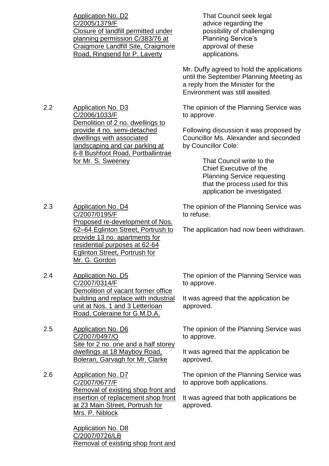Application No. D2 C/2005/1379/F Closure of landfill permitted under planning permission C/383/76 at Craigmore Landfill Site, Craigmore Road, Ringsend for P. Laverty

2.2 Application No. D3 C/2006/1033/F Demolition of 2 no. dwellings to provide 4 no. semi-detached dwellings with associated landscaping and car parking at 6-8 Bushfoot Road, Portballintrae for Mr. S. Sweeney

That Council seek legal advice regarding the possibility of challenging Planning Service's approval of these applications.

Mr. Duffy agreed to hold the applications until the September Planning Meeting as a reply from the Minister for the Environment was still awaited.

The opinion of the Planning Service was to approve.

Following discussion it was proposed by Councillor Ms. Alexander and seconded by Councillor Cole:

> That Council write to the Chief Executive of the Planning Service requesting that the process used for this application be investigated.

2.3 Application No. D4 C/2007/0195/F Proposed re-development of Nos. 62–64 Eglinton Street, Portrush to provide 13 no. apartments for residential purposes at 62-64 Eglinton Street, Portrush for Mr. G. Gordon

2.4 Application No. D5 C/2007/0314/F Demolition of vacant former office building and replace with industrial unit at Nos. 1 and 3 Letterloan Road, Coleraine for G.M.D.A.

2.5 Application No. D6 C/2007/0497/O Site for 2 no. one and a half storey dwellings at 18 Mayboy Road, Boleran, Garvagh for Mr. Clarke

2.6 Application No. D7 C/2007/0677/F Removal of existing shop front and insertion of replacement shop front at 23 Main Street, Portrush for Mrs. P. Niblock

> Application No. D8 C/2007/0726/LB Removal of existing shop front and

The opinion of the Planning Service was to refuse.

The application had now been withdrawn.

The opinion of the Planning Service was to approve.

It was agreed that the application be approved.

The opinion of the Planning Service was to approve.

It was agreed that the application be approved.

The opinion of the Planning Service was to approve both applications.

It was agreed that both applications be approved.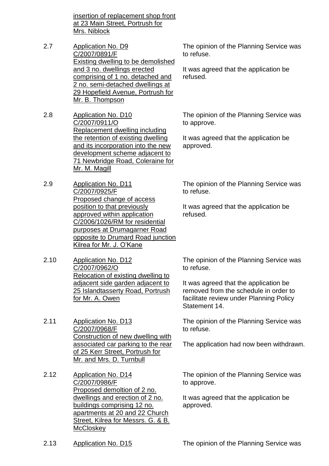insertion of replacement shop front at 23 Main Street, Portrush for Mrs. Niblock

- 2.7 Application No. D9 C/2007/0891/F Existing dwelling to be demolished and 3 no. dwellings erected comprising of 1 no. detached and 2 no. semi-detached dwellings at 29 Hopefield Avenue, Portrush for Mr. B. Thompson
- 2.8 Application No. D10 C/2007/0911/O Replacement dwelling including the retention of existing dwelling and its incorporation into the new development scheme adjacent to 71 Newbridge Road, Coleraine for Mr. M. Magill
- 2.9 Application No. D11 C/2007/0925/F Proposed change of access position to that previously approved within application C/2006/1026/RM for residential purposes at Drumagarner Road opposite to Drumard Road junction Kilrea for Mr. J. O'Kane
- 2.10 Application No. D12 C/2007/0962/O Relocation of existing dwelling to adjacent side garden adjacent to 25 Islandtasserty Road, Portrush for Mr. A. Owen
- 2.11 Application No. D13 C/2007/0968/F Construction of new dwelling with associated car parking to the rear of 25 Kerr Street, Portrush for Mr. and Mrs. D. Turnbull
- 2.12 Application No. D14 C/2007/0986/F Proposed demoltion of 2 no. dwellings and erection of 2 no. buildings comprising 12 no. apartments at 20 and 22 Church Street, Kilrea for Messrs. G. & B. **McCloskey**

The opinion of the Planning Service was to refuse.

It was agreed that the application be refused.

The opinion of the Planning Service was to approve.

It was agreed that the application be approved.

The opinion of the Planning Service was to refuse.

It was agreed that the application be refused.

The opinion of the Planning Service was to refuse.

It was agreed that the application be removed from the schedule in order to facilitate review under Planning Policy Statement 14.

The opinion of the Planning Service was to refuse.

The application had now been withdrawn.

The opinion of the Planning Service was to approve.

It was agreed that the application be approved.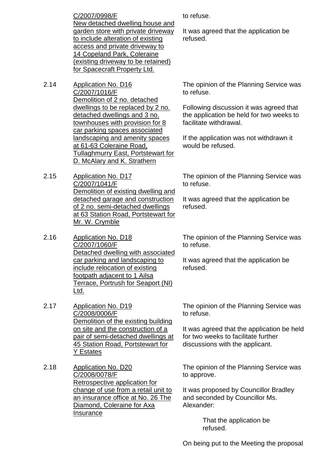C/2007/0998/F New detached dwelling house and garden store with private driveway to include alteration of existing access and private driveway to 14 Copeland Park, Coleraine (existing driveway to be retained) for Spacecraft Property Ltd.

- 2.14 Application No. D16 C/2007/1016/F Demolition of 2 no. detached dwellings to be replaced by 2 no. detached dwellings and 3 no. townhouses with provision for 8 car parking spaces associated landscaping and amenity spaces at 61-63 Coleraine Road, Tullaghmurry East, Portstewart for D. McAlary and K. Strathern
- 2.15 Application No. D17 C/2007/1041/F Demolition of existing dwelling and detached garage and construction of 2 no. semi-detached dwellings at 63 Station Road, Portstewart for Mr. W. Crymble
- 2.16 Application No. D18 C/2007/1060/F Detached dwelling with associated car parking and landscaping to include relocation of existing footpath adjacent to 1 Ailsa Terrace, Portrush for Seaport (NI) Ltd.
- 2.17 Application No. D19 C/2008/0006/F Demolition of the existing building on site and the construction of a pair of semi-detached dwellings at 45 Station Road, Portstewart for Y Estates
- 2.18 Application No. D20 C/2008/0078/F Retrospective application for change of use from a retail unit to an insurance office at No. 26 The Diamond, Coleraine for Axa Insurance

to refuse.

It was agreed that the application be refused.

The opinion of the Planning Service was to refuse.

Following discussion it was agreed that the application be held for two weeks to facilitate withdrawal.

If the application was not withdrawn it would be refused.

The opinion of the Planning Service was to refuse.

It was agreed that the application be refused.

The opinion of the Planning Service was to refuse.

It was agreed that the application be refused.

The opinion of the Planning Service was to refuse.

It was agreed that the application be held for two weeks to facilitate further discussions with the applicant.

The opinion of the Planning Service was to approve.

It was proposed by Councillor Bradley and seconded by Councillor Ms. Alexander:

> That the application be refused.

On being put to the Meeting the proposal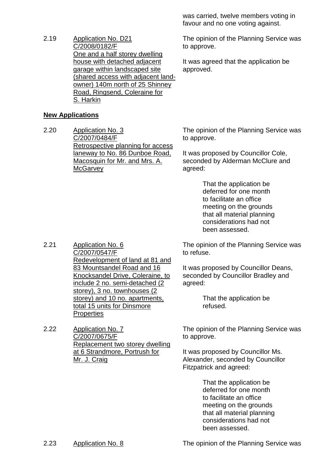2.19 Application No. D21 C/2008/0182/F One and a half storey dwelling house with detached adjacent garage within landscaped site (shared access with adjacent landowner) 140m north of 25 Shinney Road, Ringsend, Coleraine for S. Harkin

# **New Applications**

2.20 Application No. 3 C/2007/0484/F Retrospective planning for access laneway to No. 86 Dunboe Road, Macosquin for Mr. and Mrs. A. **McGarvey** 

was carried, twelve members voting in favour and no one voting against.

The opinion of the Planning Service was to approve.

It was agreed that the application be approved.

The opinion of the Planning Service was to approve.

It was proposed by Councillor Cole, seconded by Alderman McClure and agreed:

> That the application be deferred for one month to facilitate an office meeting on the grounds that all material planning considerations had not been assessed.

The opinion of the Planning Service was to refuse.

It was proposed by Councillor Deans, seconded by Councillor Bradley and agreed:

> That the application be refused.

The opinion of the Planning Service was to approve.

It was proposed by Councillor Ms. Alexander, seconded by Councillor Fitzpatrick and agreed:

> That the application be deferred for one month to facilitate an office meeting on the grounds that all material planning considerations had not been assessed.

2.23 Application No. 8 The opinion of the Planning Service was

C/2007/0547/F Redevelopment of land at 81 and 83 Mountsandel Road and 16 Knocksandel Drive, Coleraine, to include 2 no. semi-detached (2 storey), 3 no. townhouses (2 storey) and 10 no. apartments, total 15 units for Dinsmore **Properties** 

2.22 Application No. 7 C/2007/0675/F Replacement two storey dwelling at 6 Strandmore, Portrush for Mr. J. Craig

2.21 Application No. 6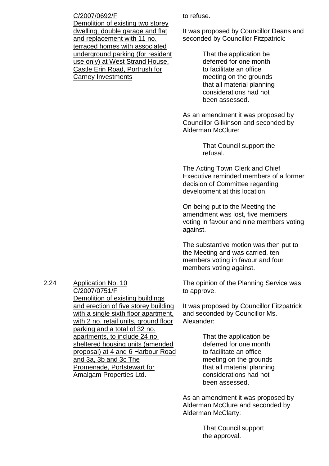#### C/2007/0692/F

Demolition of existing two storey dwelling, double garage and flat and replacement with 11 no. terraced homes with associated underground parking (for resident use only) at West Strand House, Castle Erin Road, Portrush for Carney Investments

to refuse.

It was proposed by Councillor Deans and seconded by Councillor Fitzpatrick:

> That the application be deferred for one month to facilitate an office meeting on the grounds that all material planning considerations had not been assessed.

As an amendment it was proposed by Councillor Gilkinson and seconded by Alderman McClure:

> That Council support the refusal.

The Acting Town Clerk and Chief Executive reminded members of a former decision of Committee regarding development at this location.

On being put to the Meeting the amendment was lost, five members voting in favour and nine members voting against.

The substantive motion was then put to the Meeting and was carried, ten members voting in favour and four members voting against.

The opinion of the Planning Service was to approve.

It was proposed by Councillor Fitzpatrick and seconded by Councillor Ms. Alexander:

> That the application be deferred for one month to facilitate an office meeting on the grounds that all material planning considerations had not been assessed.

As an amendment it was proposed by Alderman McClure and seconded by Alderman McClarty:

> That Council support the approval.

2.24 Application No. 10 C/2007/0751/F Demolition of existing buildings and erection of five storey building with a single sixth floor apartment. with 2 no. retail units, ground floor parking and a total of 32 no. apartments, to include 24 no. sheltered housing units (amended proposal) at 4 and 6 Harbour Road and 3a, 3b and 3c The Promenade, Portstewart for Amalgam Properties Ltd.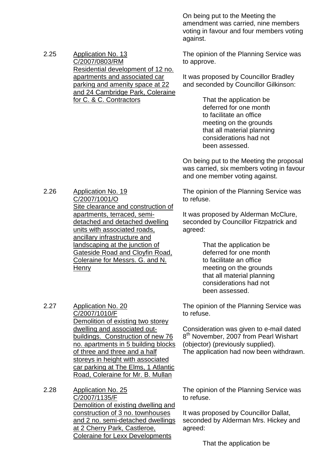On being put to the Meeting the amendment was carried, nine members voting in favour and four members voting against.

The opinion of the Planning Service was to approve.

It was proposed by Councillor Bradley and seconded by Councillor Gilkinson:

> That the application be deferred for one month to facilitate an office meeting on the grounds that all material planning considerations had not been assessed.

On being put to the Meeting the proposal was carried, six members voting in favour and one member voting against.

The opinion of the Planning Service was to refuse.

It was proposed by Alderman McClure, seconded by Councillor Fitzpatrick and agreed:

> That the application be deferred for one month to facilitate an office meeting on the grounds that all material planning considerations had not been assessed.

The opinion of the Planning Service was to refuse.

Consideration was given to e-mail dated 8<sup>th</sup> November, 2007 from Pearl Wishart (objector) (previously supplied). The application had now been withdrawn.

apartments and associated car parking and amenity space at 22 and 24 Cambridge Park, Coleraine for C. & C. Contractors

Residential development of 12 no.

2.25 Application No. 13

C/2007/0803/RM

2.26 Application No. 19 C/2007/1001/O Site clearance and construction of apartments, terraced, semidetached and detached dwelling units with associated roads, ancillary infrastructure and landscaping at the junction of Gateside Road and Cloyfin Road, Coleraine for Messrs. G. and N. **Henry** 

2.27 Application No. 20 C/2007/1010/F Demolition of existing two storey dwelling and associated outbuildings. Construction of new 76 no. apartments in 5 building blocks of three and three and a half storeys in height with associated car parking at The Elms, 1 Atlantic Road, Coleraine for Mr. B. Mullan

2.28 Application No. 25 C/2007/1135/F Demolition of existing dwelling and construction of 3 no. townhouses and 2 no. semi-detached dwellings at 2 Cherry Park, Castleroe, Coleraine for Lexx Developments

The opinion of the Planning Service was to refuse.

It was proposed by Councillor Dallat, seconded by Alderman Mrs. Hickey and agreed:

That the application be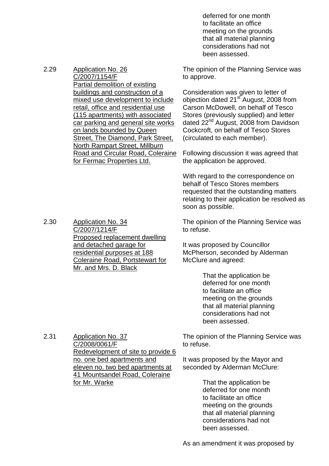deferred for one month to facilitate an office meeting on the grounds that all material planning considerations had not been assessed.

The opinion of the Planning Service was to approve.

Consideration was given to letter of objection dated  $21<sup>st</sup>$  August, 2008 from Carson McDowell, on behalf of Tesco Stores (previously supplied) and letter dated 22<sup>nd</sup> August, 2008 from Davidson Cockcroft, on behalf of Tesco Stores (circulated to each member).

Following discussion it was agreed that the application be approved.

With regard to the correspondence on behalf of Tesco Stores members requested that the outstanding matters relating to their application be resolved as soon as possible.

The opinion of the Planning Service was to refuse.

It was proposed by Councillor McPherson, seconded by Alderman McClure and agreed:

> That the application be deferred for one month to facilitate an office meeting on the grounds that all material planning considerations had not been assessed.

The opinion of the Planning Service was to refuse.

It was proposed by the Mayor and seconded by Alderman McClure:

> That the application be deferred for one month to facilitate an office meeting on the grounds that all material planning considerations had not been assessed.

2.30 Application No. 34 C/2007/1214/F Proposed replacement dwelling and detached garage for residential purposes at 188 Coleraine Road, Portstewart for Mr. and Mrs. D. Black

2.31 Application No. 37 C/2008/0061/F Redevelopment of site to provide 6 no. one bed apartments and eleven no. two bed apartments at 41 Mountsandel Road, Coleraine for Mr. Warke

As an amendment it was proposed by

buildings and construction of a mixed use development to include retail, office and residential use (115 apartments) with associated car parking and general site works on lands bounded by Queen Street, The Diamond, Park Street,

Partial demolition of existing

C/2007/1154/F

North Rampart Street, Millburn Road and Circular Road, Coleraine for Fermac Properties Ltd.

2.29 Application No. 26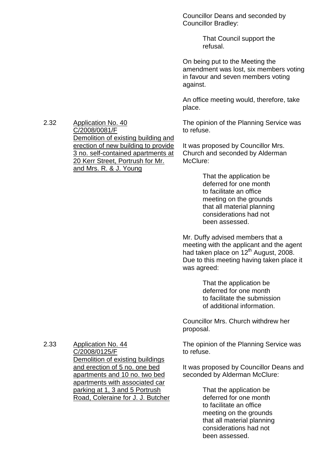Councillor Deans and seconded by Councillor Bradley:

> That Council support the refusal.

On being put to the Meeting the amendment was lost, six members voting in favour and seven members voting against.

An office meeting would, therefore, take place.

The opinion of the Planning Service was to refuse.

It was proposed by Councillor Mrs. Church and seconded by Alderman McClure:

> That the application be deferred for one month to facilitate an office meeting on the grounds that all material planning considerations had not been assessed.

Mr. Duffy advised members that a meeting with the applicant and the agent had taken place on  $12^{th}$  August, 2008. Due to this meeting having taken place it was agreed:

> That the application be deferred for one month to facilitate the submission of additional information.

Councillor Mrs. Church withdrew her proposal.

The opinion of the Planning Service was to refuse.

It was proposed by Councillor Deans and seconded by Alderman McClure:

> That the application be deferred for one month to facilitate an office meeting on the grounds that all material planning considerations had not been assessed.

2.32 Application No. 40 C/2008/0081/F Demolition of existing building and erection of new building to provide 3 no. self-contained apartments at 20 Kerr Street, Portrush for Mr. and Mrs. R. & J. Young

2.33 Application No. 44 C/2008/0125/F Demolition of existing buildings and erection of 5 no. one bed apartments and 10 no. two bed apartments with associated car parking at 1, 3 and 5 Portrush Road, Coleraine for J. J. Butcher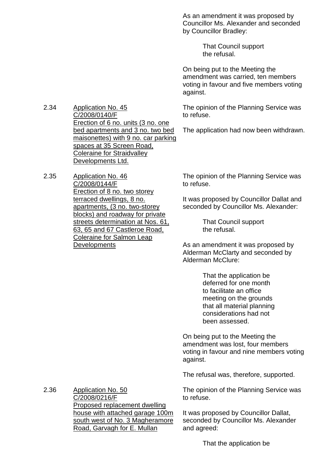As an amendment it was proposed by Councillor Ms. Alexander and seconded by Councillor Bradley:

> That Council support the refusal.

On being put to the Meeting the amendment was carried, ten members voting in favour and five members voting against.

The opinion of the Planning Service was to refuse.

The application had now been withdrawn.

2.34 Application No. 45 C/2008/0140/F Erection of 6 no. units (3 no. one bed apartments and 3 no. two bed maisonettes) with 9 no. car parking spaces at 35 Screen Road, Coleraine for Straidvalley Developments Ltd.

2.35 Application No. 46 C/2008/0144/F Erection of 8 no. two storey terraced dwellings, 8 no. apartments, (3 no. two-storey blocks) and roadway for private streets determination at Nos. 61, 63, 65 and 67 Castleroe Road, Coleraine for Salmon Leap **Developments** 

The opinion of the Planning Service was to refuse.

It was proposed by Councillor Dallat and seconded by Councillor Ms. Alexander:

> That Council support the refusal.

As an amendment it was proposed by Alderman McClarty and seconded by Alderman McClure:

> That the application be deferred for one month to facilitate an office meeting on the grounds that all material planning considerations had not been assessed.

On being put to the Meeting the amendment was lost, four members voting in favour and nine members voting against.

The refusal was, therefore, supported.

The opinion of the Planning Service was to refuse.

It was proposed by Councillor Dallat, seconded by Councillor Ms. Alexander and agreed:

C/2008/0216/F Proposed replacement dwelling house with attached garage 100m south west of No. 3 Magheramore Road, Garvagh for E. Mullan

2.36 Application No. 50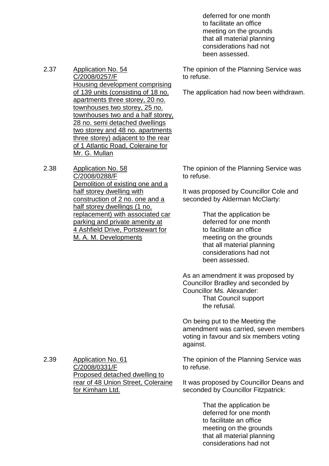deferred for one month to facilitate an office meeting on the grounds that all material planning considerations had not been assessed.

The opinion of the Planning Service was to refuse.

The application had now been withdrawn.

2.37 Application No. 54 C/2008/0257/F Housing development comprising of 139 units (consisting of 18 no. apartments three storey, 20 no. townhouses two storey, 25 no. townhouses two and a half storey, 28 no. semi detached dwellings two storey and 48 no. apartments three storey) adjacent to the rear of 1 Atlantic Road, Coleraine for Mr. G. Mullan

2.38 Application No. 58 C/2008/0288/F Demolition of existing one and a half storey dwelling with construction of 2 no. one and a half storey dwellings (1 no. replacement) with associated car parking and private amenity at 4 Ashfield Drive, Portstewart for M. A. M. Developments

The opinion of the Planning Service was to refuse.

It was proposed by Councillor Cole and seconded by Alderman McClarty:

> That the application be deferred for one month to facilitate an office meeting on the grounds that all material planning considerations had not been assessed.

As an amendment it was proposed by Councillor Bradley and seconded by Councillor Ms. Alexander: That Council support the refusal.

On being put to the Meeting the amendment was carried, seven members voting in favour and six members voting against.

The opinion of the Planning Service was to refuse.

It was proposed by Councillor Deans and seconded by Councillor Fitzpatrick:

> That the application be deferred for one month to facilitate an office meeting on the grounds that all material planning considerations had not

2.39 Application No. 61 C/2008/0331/F Proposed detached dwelling to rear of 48 Union Street, Coleraine for Kimham Ltd.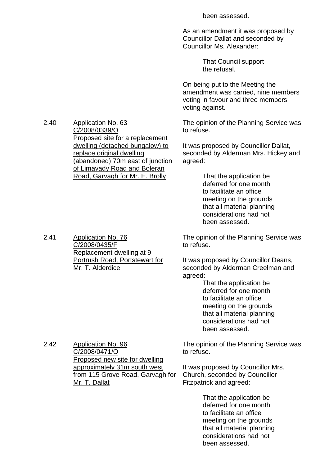been assessed.

As an amendment it was proposed by Councillor Dallat and seconded by Councillor Ms. Alexander:

> That Council support the refusal.

On being put to the Meeting the amendment was carried, nine members voting in favour and three members voting against.

The opinion of the Planning Service was to refuse.

It was proposed by Councillor Dallat, seconded by Alderman Mrs. Hickey and agreed:

> That the application be deferred for one month to facilitate an office meeting on the grounds that all material planning considerations had not been assessed.

The opinion of the Planning Service was to refuse.

It was proposed by Councillor Deans, seconded by Alderman Creelman and agreed:

> That the application be deferred for one month to facilitate an office meeting on the grounds that all material planning considerations had not been assessed.

The opinion of the Planning Service was to refuse.

It was proposed by Councillor Mrs. Church, seconded by Councillor Fitzpatrick and agreed:

> That the application be deferred for one month to facilitate an office meeting on the grounds that all material planning considerations had not been assessed.

2.40 Application No. 63 C/2008/0339/O Proposed site for a replacement dwelling (detached bungalow) to replace original dwelling (abandoned) 70m east of junction of Limavady Road and Boleran Road, Garvagh for Mr. E. Brolly

2.41 Application No. 76 C/2008/0435/F Replacement dwelling at 9 Portrush Road, Portstewart for Mr. T. Alderdice

2.42 Application No. 96 C/2008/0471/O Proposed new site for dwelling approximately 31m south west from 115 Grove Road, Garvagh for Mr. T. Dallat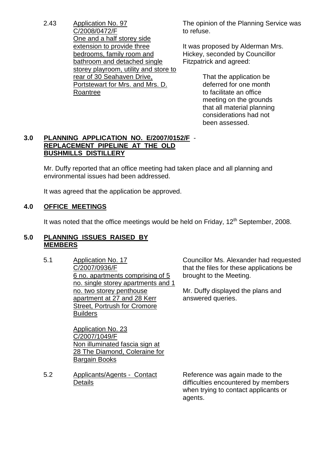2.43 Application No. 97 C/2008/0472/F One and a half storey side extension to provide three bedrooms, family room and bathroom and detached single storey playroom, utility and store to rear of 30 Seahaven Drive, Portstewart for Mrs. and Mrs. D. Roantree

The opinion of the Planning Service was to refuse.

It was proposed by Alderman Mrs. Hickey, seconded by Councillor Fitzpatrick and agreed:

> That the application be deferred for one month to facilitate an office meeting on the grounds that all material planning considerations had not been assessed.

# **3.0 PLANNING APPLICATION NO. E/2007/0152/F** - **REPLACEMENT PIPELINE AT THE OLD BUSHMILLS DISTILLERY**

Mr. Duffy reported that an office meeting had taken place and all planning and environmental issues had been addressed.

It was agreed that the application be approved.

# **4.0 OFFICE MEETINGS**

It was noted that the office meetings would be held on Friday,  $12<sup>th</sup>$  September, 2008.

# **5.0 PLANNING ISSUES RAISED BY MEMBERS**

5.1 Application No. 17 C/2007/0936/F 6 no. apartments comprising of 5 no. single storey apartments and 1 no. two storey penthouse apartment at 27 and 28 Kerr Street, Portrush for Cromore **Builders** 

> Application No. 23 C/2007/1049/F Non illuminated fascia sign at 28 The Diamond, Coleraine for Bargain Books

5.2 Applicants/Agents - Contact **Details** 

Councillor Ms. Alexander had requested that the files for these applications be brought to the Meeting.

Mr. Duffy displayed the plans and answered queries.

Reference was again made to the difficulties encountered by members when trying to contact applicants or agents.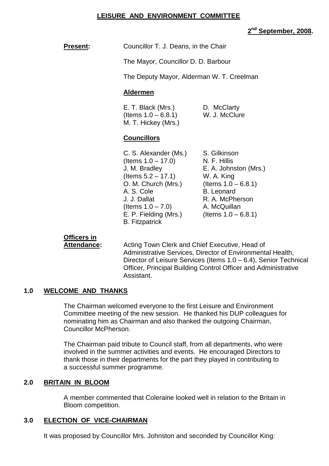# **LEISURE AND ENVIRONMENT COMMITTEE**

# **2 nd September, 2008.**

**Present:** Councillor T. J. Deans, in the Chair

The Mayor, Councillor D. D. Barbour

The Deputy Mayor, Alderman W. T. Creelman

#### **Aldermen**

E. T. Black (Mrs.) D. McClarty  $($  Items  $1.0 - 6.8.1)$  W. J. McClure M. T. Hickey (Mrs.)

# **Councillors**

- C. S. Alexander (Ms.) S. Gilkinson  $($  Items  $1.0 - 17.0)$  N. F. Hillis J. M. Bradley E. A. Johnston (Mrs.) (Items 5.2 –17.1) W. A. King O. M. Church (Mrs.) (Items  $1.0 - 6.8.1$ ) A. S. Cole B. Leonard J. J. Dallat R. A. McPherson  $($ ltems  $1.0 - 7.0)$  A. McQuillan E. P. Fielding (Mrs.)  $($  (Items  $1.0 - 6.8.1)$ B. Fitzpatrick
	-

# **Officers in**

**Attendance:** Acting Town Clerk and Chief Executive, Head of Administrative Services, Director of Environmental Health, Director of Leisure Services (Items 1.0 – 6.4), Senior Technical Officer, Principal Building Control Officer and Administrative Assistant.

# **1.0 WELCOME AND THANKS**

The Chairman welcomed everyone to the first Leisure and Environment Committee meeting of the new session. He thanked his DUP colleagues for nominating him as Chairman and also thanked the outgoing Chairman, Councillor McPherson.

The Chairman paid tribute to Council staff, from all departments, who were involved in the summer activities and events. He encouraged Directors to thank those in their departments for the part they played in contributing to a successful summer programme.

# **2.0 BRITAIN IN BLOOM**

A member commented that Coleraine looked well in relation to the Britain in Bloom competition.

# **3.0 ELECTION OF VICE-CHAIRMAN**

It was proposed by Councillor Mrs. Johnston and seconded by Councillor King: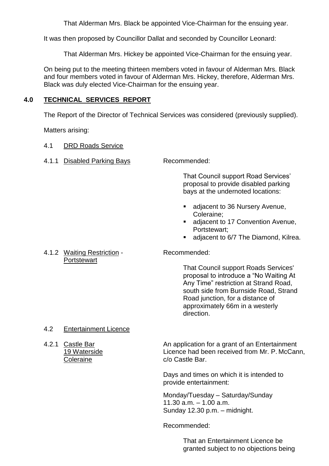That Alderman Mrs. Black be appointed Vice-Chairman for the ensuing year.

It was then proposed by Councillor Dallat and seconded by Councillor Leonard:

That Alderman Mrs. Hickey be appointed Vice-Chairman for the ensuing year.

On being put to the meeting thirteen members voted in favour of Alderman Mrs. Black and four members voted in favour of Alderman Mrs. Hickey, therefore, Alderman Mrs. Black was duly elected Vice-Chairman for the ensuing year.

# **4.0 TECHNICAL SERVICES REPORT**

The Report of the Director of Technical Services was considered (previously supplied).

Matters arising:

- 4.1 DRD Roads Service
- 4.1.1 Disabled Parking Bays Recommended:

That Council support Road Services' proposal to provide disabled parking bays at the undernoted locations:

- adjacent to 36 Nursery Avenue, Coleraine;
- adiacent to 17 Convention Avenue, Portstewart;
- adjacent to 6/7 The Diamond, Kilrea.

# 4.1.2 Waiting Restriction - Recommended: **Portstewart**

That Council support Roads Services' proposal to introduce a "No Waiting At Any Time" restriction at Strand Road, south side from Burnside Road, Strand Road junction, for a distance of approximately 66m in a westerly direction.

# 4.2 Entertainment Licence

4.2.1 Castle Bar An application for a grant of an Entertainment 19 Waterside Licence had been received from Mr. P. McCann, Coleraine **Coleraine** c/o Castle Bar.

> Days and times on which it is intended to provide entertainment:

Monday/Tuesday - Saturday/Sunday  $11.30$  a.m.  $-1.00$  a.m. Sunday 12.30 p.m. - midnight.

Recommended:

That an Entertainment Licence be granted subject to no objections being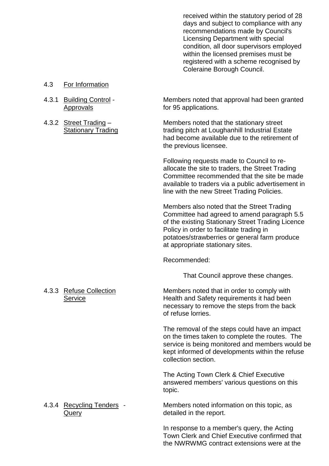received within the statutory period of 28 days and subject to compliance with any recommendations made by Council's Licensing Department with special condition, all door supervisors employed within the licensed premises must be registered with a scheme recognised by Coleraine Borough Council.

- 4.3 For Information
- 
- 

4.3.1 Building Control - Members noted that approval had been granted<br>Approvals for 95 applications. for 95 applications.

4.3.2 Street Trading – Members noted that the stationary street Stationary Trading trading pitch at Loughanhill Industrial Estate had become available due to the retirement of the previous licensee.

> Following requests made to Council to reallocate the site to traders, the Street Trading Committee recommended that the site be made available to traders via a public advertisement in line with the new Street Trading Policies.

> Members also noted that the Street Trading Committee had agreed to amend paragraph 5.5 of the existing Stationary Street Trading Licence Policy in order to facilitate trading in potatoes/strawberries or general farm produce at appropriate stationary sites.

Recommended:

That Council approve these changes.

4.3.3 Refuse Collection Members noted that in order to comply with Service **Health and Safety requirements it had been** necessary to remove the steps from the back of refuse lorries.

> The removal of the steps could have an impact on the times taken to complete the routes. The service is being monitored and members would be kept informed of developments within the refuse collection section.

The Acting Town Clerk & Chief Executive answered members' various questions on this topic.

4.3.4 Recycling Tenders - Members noted information on this topic, as Query **detailed** in the report.

> In response to a member's query, the Acting Town Clerk and Chief Executive confirmed that the NWRWMG contract extensions were at the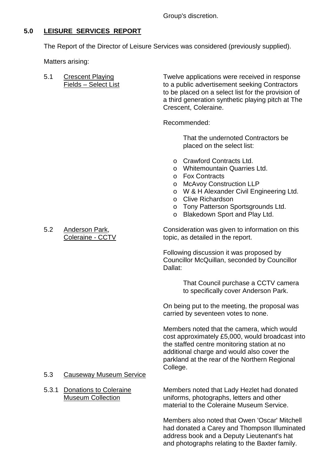Group's discretion.

# **5.0 LEISURE SERVICES REPORT**

The Report of the Director of Leisure Services was considered (previously supplied).

Matters arising:

5.1 Crescent Playing Twelve applications were received in response Fields – Select List to a public advertisement seeking Contractors to be placed on a select list for the provision of a third generation synthetic playing pitch at The Crescent, Coleraine.

Recommended:

That the undernoted Contractors be placed on the select list:

- o Crawford Contracts Ltd.
- o Whitemountain Quarries Ltd.
- o Fox Contracts
- o McAvoy Construction LLP
- o W & H Alexander Civil Engineering Ltd.
- o Clive Richardson
- o Tony Patterson Sportsgrounds Ltd.
- o Blakedown Sport and Play Ltd.

5.2 Anderson Park, Consideration was given to information on this Coleraine - CCTV topic, as detailed in the report.

> Following discussion it was proposed by Councillor McQuillan, seconded by Councillor Dallat:

> > That Council purchase a CCTV camera to specifically cover Anderson Park.

On being put to the meeting, the proposal was carried by seventeen votes to none.

Members noted that the camera, which would cost approximately £5,000, would broadcast into the staffed centre monitoring station at no additional charge and would also cover the parkland at the rear of the Northern Regional College.

# 5.3 Causeway Museum Service

5.3.1 Donations to Coleraine Members noted that Lady Hezlet had donated Museum Collection uniforms, photographs, letters and other material to the Coleraine Museum Service.

> Members also noted that Owen 'Oscar' Mitchell had donated a Carey and Thompson Illuminated address book and a Deputy Lieutenant's hat and photographs relating to the Baxter family.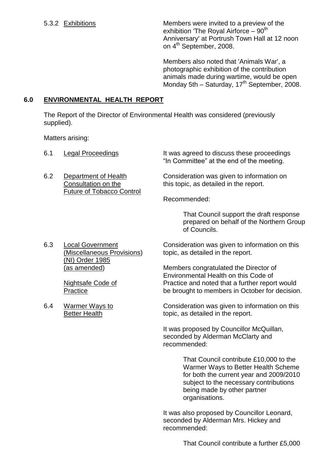5.3.2 Exhibitions Members were invited to a preview of the exhibition 'The Royal Airforce –  $90<sup>th</sup>$ Anniversary' at Portrush Town Hall at 12 noon on 4<sup>th</sup> September, 2008.

> Members also noted that 'Animals War', a photographic exhibition of the contribution animals made during wartime, would be open Monday 5th – Saturday, 17<sup>th</sup> September, 2008.

# **6.0 ENVIRONMENTAL HEALTH REPORT**

The Report of the Director of Environmental Health was considered (previously supplied).

Matters arising:

| 6.1 | <b>Legal Proceedings</b>                                                        | It was agreed to discuss these proceedings<br>"In Committee" at the end of the meeting.             |
|-----|---------------------------------------------------------------------------------|-----------------------------------------------------------------------------------------------------|
| 6.2 | Department of Health<br>Consultation on the<br><b>Future of Tobacco Control</b> | Consideration was given to information on<br>this topic, as detailed in the report.                 |
|     |                                                                                 | Recommended:                                                                                        |
|     |                                                                                 | That Council support the draft response<br>prepared on behalf of the Northern Group<br>of Councils. |
| 6.3 | <b>Local Government</b><br>(Miscellaneous Provisions)<br>(NI) Order 1985        | Consideration was given to information on this<br>topic, as detailed in the report.                 |
|     | <u>(as amended)</u>                                                             | Members congratulated the Director of<br>Environmental Health on this Code of                       |
|     | Nightsafe Code of<br>Practice                                                   | Practice and noted that a further report would<br>be brought to members in October for decision.    |
| 6.4 | <b>Warmer Ways to</b><br><b>Better Health</b>                                   | Consideration was given to information on this<br>topic, as detailed in the report.                 |
|     |                                                                                 | It was proposed by Councillor McQuillan,<br>seconded by Alderman McClarty and<br>recommended:       |
|     |                                                                                 | That Council contribute £10,000 to the<br>Warmer Ways to Better Health Scheme                       |

Warmer Ways to Better Health Scheme for both the current year and 2009/2010 subject to the necessary contributions being made by other partner organisations.

It was also proposed by Councillor Leonard, seconded by Alderman Mrs. Hickey and recommended: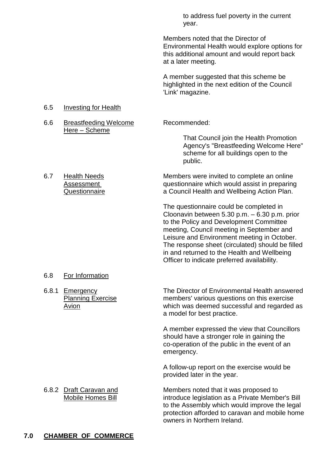to address fuel poverty in the current year.

Members noted that the Director of Environmental Health would explore options for this additional amount and would report back at a later meeting.

A member suggested that this scheme be highlighted in the next edition of the Council 'Link' magazine.

public.

That Council join the Health Promotion Agency's "Breastfeeding Welcome Here" scheme for all buildings open to the

#### 6.5 Investing for Health

- 6.6 Breastfeeding Welcome Recommended: Here – Scheme
- 6.7 Health Needs Members were invited to complete an online Assessment **Assessment** questionnaire which would assist in preparing Questionnaire **a** Council Health and Wellbeing Action Plan.

The questionnaire could be completed in Cloonavin between 5.30 p.m. –6.30 p.m. prior to the Policy and Development Committee meeting, Council meeting in September and Leisure and Environment meeting in October. The response sheet (circulated) should be filled in and returned to the Health and Wellbeing Officer to indicate preferred availability.

# 6.8 For Information

6.8.1 Emergency The Director of Environmental Health answered Planning Exercise members' various questions on this exercise Avion which was deemed successful and regarded as a model for best practice.

> A member expressed the view that Councillors should have a stronger role in gaining the co-operation of the public in the event of an emergency.

A follow-up report on the exercise would be provided later in the year.

6.8.2 Draft Caravan and Members noted that it was proposed to Mobile Homes Bill introduce legislation as a Private Member's Bill to the Assembly which would improve the legal protection afforded to caravan and mobile home owners in Northern Ireland.

# **7.0 CHAMBER OF COMMERCE**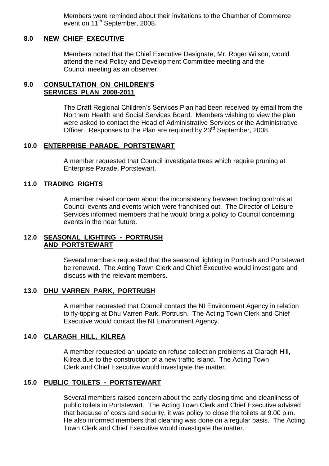Members were reminded about their invitations to the Chamber of Commerce event on 11<sup>th</sup> September, 2008.

#### **8.0 NEW CHIEF EXECUTIVE**

Members noted that the Chief Executive Designate, Mr. Roger Wilson, would attend the next Policy and Development Committee meeting and the Council meeting as an observer.

# **9.0 CONSULTATION ON CHILDREN'S SERVICES PLAN 2008-2011**

The Draft Regional Children's Services Plan had been received by email from the Northern Health and Social Services Board. Members wishing to view the plan were asked to contact the Head of Administrative Services or the Administrative Officer. Responses to the Plan are required by 23<sup>rd</sup> September, 2008.

# **10.0 ENTERPRISE PARADE, PORTSTEWART**

A member requested that Council investigate trees which require pruning at Enterprise Parade, Portstewart.

#### **11.0 TRADING RIGHTS**

A member raised concern about the inconsistency between trading controls at Council events and events which were franchised out. The Director of Leisure Services informed members that he would bring a policy to Council concerning events in the near future.

# **12.0 SEASONAL LIGHTING - PORTRUSH AND PORTSTEWART**

Several members requested that the seasonal lighting in Portrush and Portstewart be renewed. The Acting Town Clerk and Chief Executive would investigate and discuss with the relevant members.

# **13.0 DHU VARREN PARK, PORTRUSH**

A member requested that Council contact the NI Environment Agency in relation to fly-tipping at Dhu Varren Park, Portrush. The Acting Town Clerk and Chief Executive would contact the NI Environment Agency.

# **14.0 CLARAGH HILL, KILREA**

A member requested an update on refuse collection problems at Claragh Hill, Kilrea due to the construction of a new traffic island. The Acting Town Clerk and Chief Executive would investigate the matter.

# **15.0 PUBLIC TOILETS - PORTSTEWART**

Several members raised concern about the early closing time and cleanliness of public toilets in Portstewart. The Acting Town Clerk and Chief Executive advised that because of costs and security, it was policy to close the toilets at 9.00 p.m. He also informed members that cleaning was done on a regular basis. The Acting Town Clerk and Chief Executive would investigate the matter.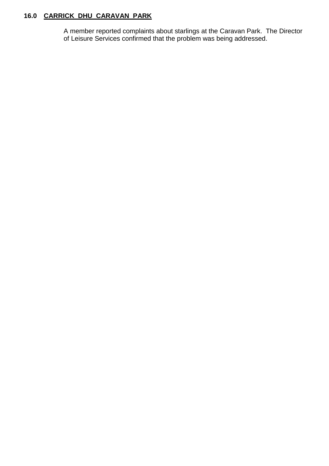# **16.0 CARRICK DHU CARAVAN PARK**

A member reported complaints about starlings at the Caravan Park. The Director of Leisure Services confirmed that the problem was being addressed.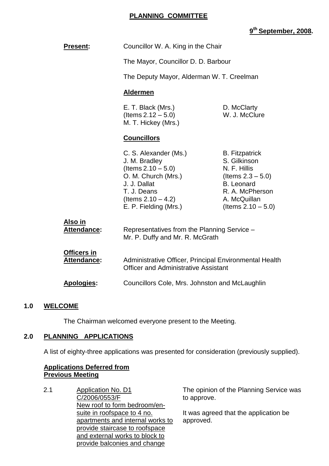# **PLANNING COMMITTEE**

# **9 th September, 2008.**

| <b>Present:</b>                          | Councillor W. A. King in the Chair                                                                                                                                                                                                        |                                                                                                                                                                |
|------------------------------------------|-------------------------------------------------------------------------------------------------------------------------------------------------------------------------------------------------------------------------------------------|----------------------------------------------------------------------------------------------------------------------------------------------------------------|
|                                          | The Mayor, Councillor D. D. Barbour                                                                                                                                                                                                       |                                                                                                                                                                |
|                                          | The Deputy Mayor, Alderman W. T. Creelman                                                                                                                                                                                                 |                                                                                                                                                                |
|                                          | <b>Aldermen</b>                                                                                                                                                                                                                           |                                                                                                                                                                |
|                                          | E. T. Black (Mrs.)<br>D. McClarty<br>(Items $2.12 - 5.0$ )<br>W. J. McClure<br>M. T. Hickey (Mrs.)                                                                                                                                        |                                                                                                                                                                |
|                                          | <b>Councillors</b>                                                                                                                                                                                                                        |                                                                                                                                                                |
|                                          | C. S. Alexander (Ms.)<br>J. M. Bradley<br>(Items $2.10 - 5.0$ )<br>O. M. Church (Mrs.)<br>J. J. Dallat<br>T. J. Deans<br>(Items $2.10 - 4.2$ )<br>E. P. Fielding (Mrs.)                                                                   | <b>B.</b> Fitzpatrick<br>S. Gilkinson<br>N. F. Hillis<br>(Items $2.3 - 5.0$ )<br><b>B.</b> Leonard<br>R. A. McPherson<br>A. McQuillan<br>(Items $2.10 - 5.0$ ) |
| <u>Also in</u><br>Attendance:            | Representatives from the Planning Service -<br>Mr. P. Duffy and Mr. R. McGrath<br>Administrative Officer, Principal Environmental Health<br><b>Officer and Administrative Assistant</b><br>Councillors Cole, Mrs. Johnston and McLaughlin |                                                                                                                                                                |
| <b>Officers in</b><br><b>Attendance:</b> |                                                                                                                                                                                                                                           |                                                                                                                                                                |
| Apologies:                               |                                                                                                                                                                                                                                           |                                                                                                                                                                |

# **1.0 WELCOME**

The Chairman welcomed everyone present to the Meeting.

# **2.0 PLANNING APPLICATIONS**

A list of eighty-three applications was presented for consideration (previously supplied).

# **Applications Deferred from Previous Meeting**

2.1 Application No. D1 C/2006/0553/F New roof to form bedroom/ensuite in roofspace to 4 no. apartments and internal works to provide staircase to roofspace and external works to block to provide balconies and change

The opinion of the Planning Service was to approve.

It was agreed that the application be approved.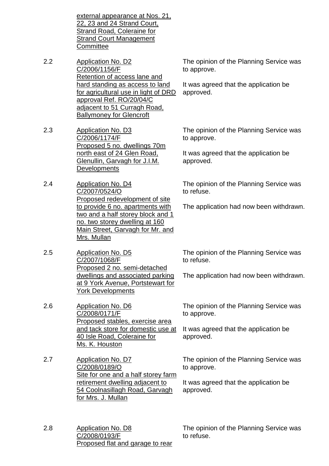external appearance at Nos. 21, 22, 23 and 24 Strand Court, Strand Road, Coleraine for Strand Court Management **Committee** 

- 2.2 Application No. D2 C/2006/1156/F Retention of access lane and hard standing as access to land for agricultural use in light of DRD approval Ref. RO/20/04/C adjacent to 51 Curragh Road, Ballymoney for Glencroft
- 2.3 Application No. D3 C/2006/1174/F Proposed 5 no. dwellings 70m north east of 24 Glen Road, Glenullin, Garvagh for J.I.M. **Developments**
- 2.4 Application No. D4 C/2007/0524/O Proposed redevelopment of site to provide 6 no. apartments with two and a half storey block and 1 no. two storey dwelling at 160 Main Street, Garvagh for Mr. and Mrs. Mullan
- 2.5 Application No. D5 C/2007/1068/F Proposed 2 no. semi-detached dwellings and associated parking at 9 York Avenue, Portstewart for York Developments
- 2.6 Application No. D6 C/2008/0171/F Proposed stables, exercise area and tack store for domestic use at 40 Isle Road, Coleraine for Ms. K. Houston
- 2.7 Application No. D7 C/2008/0189/O Site for one and a half storey farm retirement dwelling adjacent to 54 Coolnasillagh Road, Garvagh for Mrs. J. Mullan
- 2.8 Application No. D8 C/2008/0193/F Proposed flat and garage to rear

The opinion of the Planning Service was to approve.

It was agreed that the application be approved.

The opinion of the Planning Service was to approve.

It was agreed that the application be approved.

The opinion of the Planning Service was to refuse.

The application had now been withdrawn.

The opinion of the Planning Service was to refuse.

The application had now been withdrawn.

The opinion of the Planning Service was to approve.

It was agreed that the application be approved.

The opinion of the Planning Service was to approve.

It was agreed that the application be approved.

The opinion of the Planning Service was to refuse.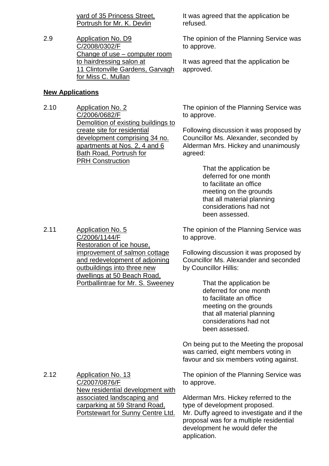yard of 35 Princess Street, Portrush for Mr. K. Devlin

2.9 Application No. D9 C/2008/0302/F Change of use – computer room to hairdressing salon at 11 Clintonville Gardens, Garvagh for Miss C. Mullan

# **New Applications**

2.11 Application No. 5

C/2006/1144/F

Restoration of ice house,

improvement of salmon cottage and redevelopment of adjoining outbuildings into three new dwellings at 50 Beach Road, Portballintrae for Mr. S. Sweeney

2.10 Application No. 2 C/2006/0682/F Demolition of existing buildings to create site for residential development comprising 34 no. apartments at Nos. 2, 4 and 6 Bath Road, Portrush for PRH Construction

It was agreed that the application be refused.

The opinion of the Planning Service was to approve.

It was agreed that the application be approved.

The opinion of the Planning Service was to approve.

Following discussion it was proposed by Councillor Ms. Alexander, seconded by Alderman Mrs. Hickey and unanimously agreed:

> That the application be deferred for one month to facilitate an office meeting on the grounds that all material planning considerations had not been assessed.

The opinion of the Planning Service was to approve.

Following discussion it was proposed by Councillor Ms. Alexander and seconded by Councillor Hillis:

> That the application be deferred for one month to facilitate an office meeting on the grounds that all material planning considerations had not been assessed.

On being put to the Meeting the proposal was carried, eight members voting in favour and six members voting against.

2.12 Application No. 13 C/2007/0876/F New residential development with associated landscaping and carparking at 59 Strand Road, Portstewart for Sunny Centre Ltd. The opinion of the Planning Service was to approve.

Alderman Mrs. Hickey referred to the type of development proposed. Mr. Duffy agreed to investigate and if the proposal was for a multiple residential development he would defer the application.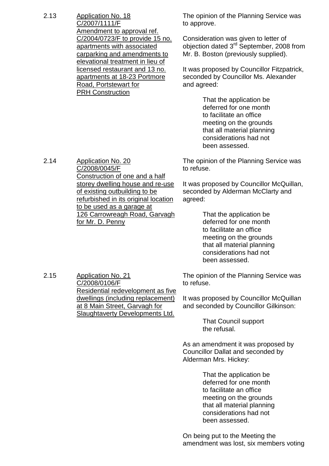2.13 Application No. 18 C/2007/1111/F Amendment to approval ref. C/2004/0723/F to provide 15 no. apartments with associated carparking and amendments to elevational treatment in lieu of licensed restaurant and 13 no. apartments at 18-23 Portmore Road, Portstewart for PRH Construction

The opinion of the Planning Service was to approve.

Consideration was given to letter of objection dated 3<sup>rd</sup> September, 2008 from Mr. B. Boston (previously supplied).

It was proposed by Councillor Fitzpatrick, seconded by Councillor Ms. Alexander and agreed:

> That the application be deferred for one month to facilitate an office meeting on the grounds that all material planning considerations had not been assessed.

The opinion of the Planning Service was to refuse.

It was proposed by Councillor McQuillan, seconded by Alderman McClarty and agreed:

> That the application be deferred for one month to facilitate an office meeting on the grounds that all material planning considerations had not been assessed.

The opinion of the Planning Service was to refuse.

It was proposed by Councillor McQuillan and seconded by Councillor Gilkinson:

> That Council support the refusal.

As an amendment it was proposed by Councillor Dallat and seconded by Alderman Mrs. Hickey:

> That the application be deferred for one month to facilitate an office meeting on the grounds that all material planning considerations had not been assessed.

On being put to the Meeting the amendment was lost, six members voting

2.14 Application No. 20 C/2008/0045/F Construction of one and a half storey dwelling house and re-use of existing outbuilding to be refurbished in its original location to be used as a garage at 126 Carrowreagh Road, Garvagh for Mr. D. Penny

2.15 Application No. 21 C/2008/0106/F Residential redevelopment as five dwellings (including replacement) at 8 Main Street, Garvagh for Slaughtaverty Developments Ltd.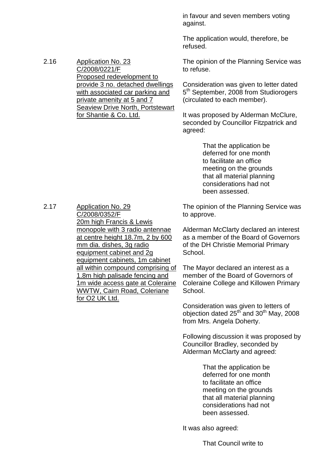in favour and seven members voting against.

The application would, therefore, be refused.

The opinion of the Planning Service was to refuse.

Consideration was given to letter dated 5<sup>th</sup> September, 2008 from Studiorogers (circulated to each member).

It was proposed by Alderman McClure, seconded by Councillor Fitzpatrick and agreed:

> That the application be deferred for one month to facilitate an office meeting on the grounds that all material planning considerations had not been assessed.

The opinion of the Planning Service was to approve.

Alderman McClarty declared an interest as a member of the Board of Governors of the DH Christie Memorial Primary School.

The Mayor declared an interest as a member of the Board of Governors of Coleraine College and Killowen Primary School.

Consideration was given to letters of objection dated  $25^{th}$  and  $30^{th}$  May, 2008 from Mrs. Angela Doherty.

Following discussion it was proposed by Councillor Bradley, seconded by Alderman McClarty and agreed:

> That the application be deferred for one month to facilitate an office meeting on the grounds that all material planning considerations had not been assessed.

It was also agreed:

That Council write to

2.17 Application No. 29 C/2008/0352/F 20m high Francis & Lewis monopole with 3 radio antennae at centre height 18.7m, 2 by 600 mm dia. dishes, 3g radio equipment cabinet and 2g equipment cabinets, 1m cabinet all within compound comprising of 1.8m high palisade fencing and 1m wide access gate at Coleraine WWTW, Cairn Road, Coleriane for O<sub>2</sub> UK Ltd.

2.16 Application No. 23 C/2008/0221/F Proposed redevelopment to provide 3 no. detached dwellings with associated car parking and private amenity at 5 and 7 Seaview Drive North, Portstewart for Shantie & Co. Ltd.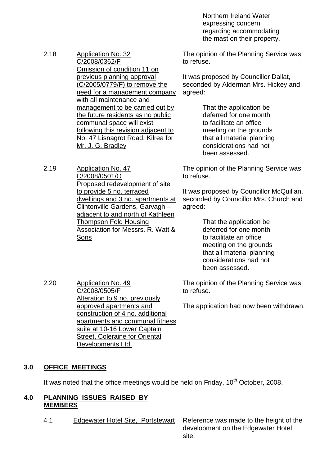Northern Ireland Water expressing concern regarding accommodating the mast on their property.

- 2.18 Application No. 32 C/2008/0362/F Omission of condition 11 on previous planning approval (C/2005/0779/F) to remove the need for a management company with all maintenance and management to be carried out by the future residents as no public communal space will exist following this revision adjacent to No. 47 Lisnagrot Road, Kilrea for Mr. J. G. Bradley
- 2.19 Application No. 47 C/2008/0501/O Proposed redevelopment of site to provide 5 no. terraced dwellings and 3 no. apartments at Clintonville Gardens, Garvagh – adjacent to and north of Kathleen Thompson Fold Housing Association for Messrs. R. Watt & Sons

The opinion of the Planning Service was to refuse.

It was proposed by Councillor Dallat, seconded by Alderman Mrs. Hickey and agreed:

> That the application be deferred for one month to facilitate an office meeting on the grounds that all material planning considerations had not been assessed.

The opinion of the Planning Service was to refuse.

It was proposed by Councillor McQuillan, seconded by Councillor Mrs. Church and agreed:

> That the application be deferred for one month to facilitate an office meeting on the grounds that all material planning considerations had not been assessed.

The opinion of the Planning Service was to refuse.

The application had now been withdrawn.

2.20 Application No. 49 C/2008/0505/F Alteration to 9 no. previously approved apartments and construction of 4 no. additional apartments and communal fitness suite at 10-16 Lower Captain Street, Coleraine for Oriental Developments Ltd.

# **3.0 OFFICE MEETINGS**

It was noted that the office meetings would be held on Friday,  $10<sup>th</sup>$  October, 2008.

#### **4.0 PLANNING ISSUES RAISED BY MEMBERS**

4.1 Edgewater Hotel Site, Portstewart Reference was made to the height of the development on the Edgewater Hotel site.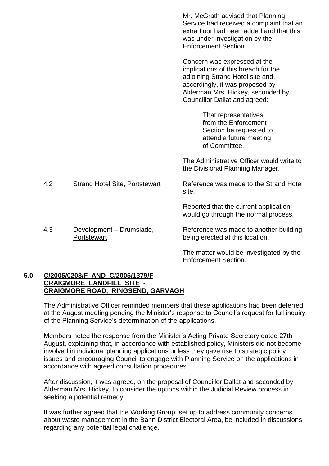|        |                                       | Mr. McGrath advised that Planning<br>Service had received a complaint that an<br>extra floor had been added and that this<br>was under investigation by the<br><b>Enforcement Section.</b>                              |
|--------|---------------------------------------|-------------------------------------------------------------------------------------------------------------------------------------------------------------------------------------------------------------------------|
|        |                                       | Concern was expressed at the<br>implications of this breach for the<br>adjoining Strand Hotel site and,<br>accordingly, it was proposed by<br>Alderman Mrs. Hickey, seconded by<br><b>Councillor Dallat and agreed:</b> |
|        |                                       | That representatives<br>from the Enforcement<br>Section be requested to<br>attend a future meeting<br>of Committee.                                                                                                     |
|        |                                       | The Administrative Officer would write to<br>the Divisional Planning Manager.                                                                                                                                           |
| 4.2    | <b>Strand Hotel Site, Portstewart</b> | Reference was made to the Strand Hotel<br>site.                                                                                                                                                                         |
|        |                                       | Reported that the current application<br>would go through the normal process.                                                                                                                                           |
| $\sim$ | Douglangerat Duise alaska             | Dafaranaa waa maada ta'anathan huulaban                                                                                                                                                                                 |

4.3 Development – Drumslade, **Portstewart** Reference was made to another building being erected at this location.

> The matter would be investigated by the Enforcement Section.

# **5.0 C/2005/0208/F AND C/2005/1379/F CRAIGMORE LANDFILL SITE - CRAIGMORE ROAD, RINGSEND, GARVAGH**

The Administrative Officer reminded members that these applications had been deferred at the August meeting pending the Minister's response to Council's request for full inquiry of the Planning Service's determination of the applications.

Members noted the response from the Minister's Acting Private Secretary dated 27th August, explaining that, in accordance with established policy, Ministers did not become involved in individual planning applications unless they gave rise to strategic policy issues and encouraging Council to engage with Planning Service on the applications in accordance with agreed consultation procedures.

After discussion, it was agreed, on the proposal of Councillor Dallat and seconded by Alderman Mrs. Hickey, to consider the options within the Judicial Review process in seeking a potential remedy.

It was further agreed that the Working Group, set up to address community concerns about waste management in the Bann District Electoral Area, be included in discussions regarding any potential legal challenge.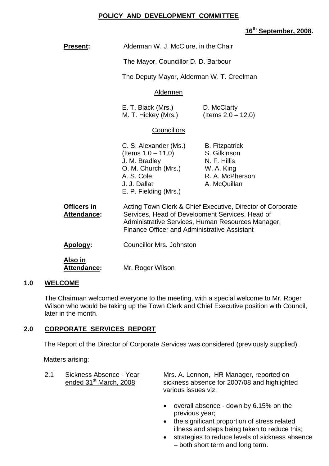# **POLICY AND DEVELOPMENT COMMITTEE**

# **16th September, 2008.**

| <b>Present:</b>                          | Alderman W. J. McClure, in the Chair                                                                                                          |                                                                                                                                                                    |  |
|------------------------------------------|-----------------------------------------------------------------------------------------------------------------------------------------------|--------------------------------------------------------------------------------------------------------------------------------------------------------------------|--|
|                                          | The Mayor, Councillor D. D. Barbour                                                                                                           |                                                                                                                                                                    |  |
|                                          | The Deputy Mayor, Alderman W. T. Creelman                                                                                                     |                                                                                                                                                                    |  |
|                                          | Aldermen                                                                                                                                      |                                                                                                                                                                    |  |
|                                          | E. T. Black (Mrs.)<br>D. McClarty<br>(Items $2.0 - 12.0$ )<br>M. T. Hickey (Mrs.)                                                             |                                                                                                                                                                    |  |
|                                          | Councillors                                                                                                                                   |                                                                                                                                                                    |  |
|                                          | C. S. Alexander (Ms.)<br>(Items $1.0 - 11.0$ )<br>J. M. Bradley<br>O. M. Church (Mrs.)<br>A. S. Cole<br>J. J. Dallat<br>E. P. Fielding (Mrs.) | <b>B.</b> Fitzpatrick<br>S. Gilkinson<br>N. F. Hillis<br>W. A. King<br>R. A. McPherson<br>A. McQuillan                                                             |  |
| <b>Officers in</b><br><b>Attendance:</b> | <b>Finance Officer and Administrative Assistant</b>                                                                                           | Acting Town Clerk & Chief Executive, Director of Corporate<br>Services, Head of Development Services, Head of<br>Administrative Services, Human Resources Manager, |  |
| Apology:                                 | <b>Councillor Mrs. Johnston</b>                                                                                                               |                                                                                                                                                                    |  |
| Also in<br><b>Attendance:</b>            | Mr. Roger Wilson                                                                                                                              |                                                                                                                                                                    |  |

# **1.0 WELCOME**

The Chairman welcomed everyone to the meeting, with a special welcome to Mr. Roger Wilson who would be taking up the Town Clerk and Chief Executive position with Council, later in the month.

# **2.0 CORPORATE SERVICES REPORT**

The Report of the Director of Corporate Services was considered (previously supplied).

Matters arising:

2.1 Sickness Absence - Year Mrs. A. Lennon, HR Manager, reported on ended 31<sup>st</sup> March, 2008 sickness absence for 2007/08 and highlight sickness absence for 2007/08 and highlighted various issues viz:

- overall absence down by 6.15% on the previous year;
- the significant proportion of stress related illness and steps being taken to reduce this;
- **•** strategies to reduce levels of sickness absence –both short term and long term.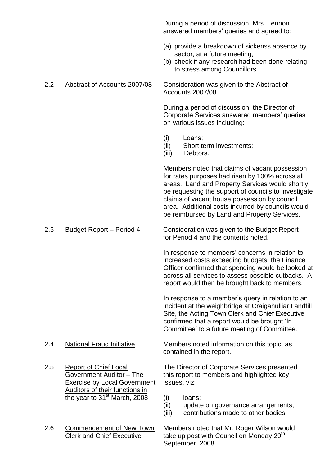During a period of discussion, Mrs. Lennon answered members' queries and agreed to:

- (a) provide a breakdown of sickenss absence by sector, at a future meeting;
- (b) check if any research had been done relating to stress among Councillors.

2.2 Abstract of Accounts 2007/08 Consideration was given to the Abstract of Accounts 2007/08.

> During a period of discussion, the Director of Corporate Services answered members' queries on various issues including:

- (i) Loans;
- (ii) Short term investments;
- (iii) Debtors.

Members noted that claims of vacant possession for rates purposes had risen by 100% across all areas. Land and Property Services would shortly be requesting the support of councils to investigate claims of vacant house possession by council area. Additional costs incurred by councils would be reimbursed by Land and Property Services.

2.3 Budget Report – Period 4 Consideration was given to the Budget Report for Period 4 and the contents noted.

> In response to members' concerns in relation to increased costs exceeding budgets, the Finance Officer confirmed that spending would be looked at across all services to assess possible cutbacks. A report would then be brought back to members.

In response to a member's query in relation to an incident at the weighbridge at Craigahulliar Landfill Site, the Acting Town Clerk and Chief Executive confirmed that a report would be brought 'In Committee' to a future meeting of Committee.

- 
- Exercise by Local Government issues, viz: Auditors of their functions in the year to  $31<sup>st</sup>$  March, 2008 (i) loans;
- 

2.4 National Fraud Initiative Members noted information on this topic, as contained in the report.

2.5 Report of Chief Local The Director of Corporate Services presented Government Auditor – The this report to members and highlighted key

- 
- (ii) update on governance arrangements;
- (iii) contributions made to other bodies.

2.6 Commencement of New Town Members noted that Mr. Roger Wilson would Clerk and Chief Executive take up post with Council on Monday 29<sup>th</sup> September, 2008.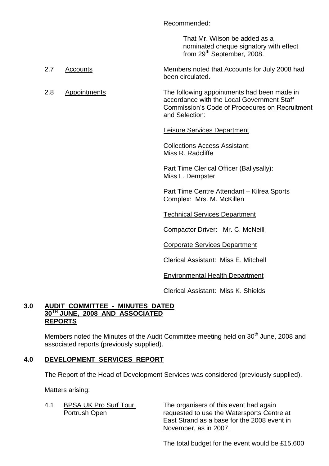Recommended:

That Mr. Wilson be added as a nominated cheque signatory with effect from 29<sup>th</sup> September, 2008.

- 2.7 Accounts Members noted that Accounts for July 2008 had been circulated.
- 2.8 Appointments The following appointments had been made in accordance with the Local Government Staff Commission's Code of Procedures on Recruitment and Selection:

# Leisure Services Department

Collections Access Assistant: Miss R. Radcliffe

Part Time Clerical Officer (Ballysally): Miss L. Dempster

Part Time Centre Attendant - Kilrea Sports Complex: Mrs. M. McKillen

Technical Services Department

Compactor Driver: Mr. C. McNeill

Corporate Services Department

Clerical Assistant: Miss E. Mitchell

Environmental Health Department

Clerical Assistant: Miss K. Shields

# **3.0 AUDIT COMMITTEE - MINUTES DATED 30TH JUNE, 2008 AND ASSOCIATED REPORTS**

Members noted the Minutes of the Audit Committee meeting held on 30<sup>th</sup> June, 2008 and associated reports (previously supplied).

# **4.0 DEVELOPMENT SERVICES REPORT**

The Report of the Head of Development Services was considered (previously supplied).

Matters arising:

4.1 BPSA UK Pro Surf Tour, The organisers of this event had again Portrush Open **requested to use the Watersports Centre at** East Strand as a base for the 2008 event in November, as in 2007.

The total budget for the event would be £15,600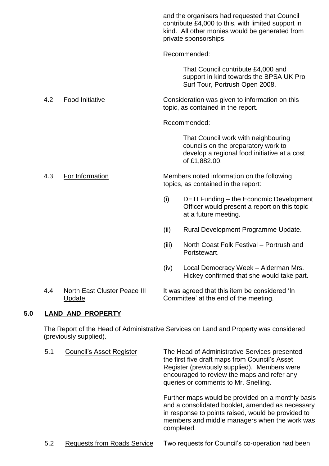|     |                                                      |       | and the organisers had requested that Council<br>contribute £4,000 to this, with limited support in<br>kind. All other monies would be generated from<br>private sponsorships. |  |
|-----|------------------------------------------------------|-------|--------------------------------------------------------------------------------------------------------------------------------------------------------------------------------|--|
|     |                                                      |       | Recommended:                                                                                                                                                                   |  |
|     |                                                      |       | That Council contribute £4,000 and<br>support in kind towards the BPSA UK Pro<br>Surf Tour, Portrush Open 2008.                                                                |  |
| 4.2 | <b>Food Initiative</b>                               |       | Consideration was given to information on this<br>topic, as contained in the report.                                                                                           |  |
|     |                                                      |       | Recommended:                                                                                                                                                                   |  |
|     |                                                      |       | That Council work with neighbouring<br>councils on the preparatory work to<br>develop a regional food initiative at a cost<br>of £1,882.00.                                    |  |
| 4.3 | For Information                                      |       | Members noted information on the following<br>topics, as contained in the report:                                                                                              |  |
|     |                                                      | (i)   | DETI Funding – the Economic Development<br>Officer would present a report on this topic<br>at a future meeting.                                                                |  |
|     |                                                      | (ii)  | Rural Development Programme Update.                                                                                                                                            |  |
|     |                                                      | (iii) | North Coast Folk Festival - Portrush and<br>Portstewart.                                                                                                                       |  |
|     |                                                      | (iv)  | Local Democracy Week - Alderman Mrs.<br>Hickey confirmed that she would take part.                                                                                             |  |
| 4.4 | <b>North East Cluster Peace III</b><br><b>Update</b> |       | It was agreed that this item be considered 'In<br>Committee' at the end of the meeting.                                                                                        |  |

# **5.0 LAND AND PROPERTY**

The Report of the Head of Administrative Services on Land and Property was considered (previously supplied).

| 5.1 | <b>Council's Asset Register</b> | The Head of Administrative Services presented<br>the first five draft maps from Council's Asset<br>Register (previously supplied). Members were<br>encouraged to review the maps and refer any<br>queries or comments to Mr. Snelling. |
|-----|---------------------------------|----------------------------------------------------------------------------------------------------------------------------------------------------------------------------------------------------------------------------------------|
|     |                                 | Further maps would be provided on a monthly basis<br>and a consolidated booklet, amended as necessary<br>in response to points raised, would be provided to<br>members and middle managers when the work was<br>completed.             |
|     | Desusate from Deade Cangas      | Tue requeste fer Council's se speration had been                                                                                                                                                                                       |

# 5.2 Requests from Roads Service Two requests for Council's co-operation had been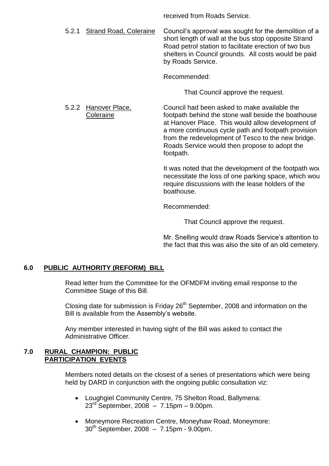received from Roads Service.

5.2.1 Strand Road, Coleraine Council's approval was sought for the demolition of a short length of wall at the bus stop opposite Strand Road petrol station to facilitate erection of two bus shelters in Council grounds. All costs would be paid by Roads Service.

Recommended:

That Council approve the request.

5.2.2 Hanover Place, Council had been asked to make available the Coleraine footpath behind the stone wall beside the boathouse at Hanover Place. This would allow development of a more continuous cycle path and footpath provision from the redevelopment of Tesco to the new bridge. Roads Service would then propose to adopt the footpath.

> It was noted that the development of the footpath would necessitate the loss of one parking space, which would require discussions with the lease holders of the boathouse.

Recommended:

That Council approve the request.

Mr. Snelling would draw Roads Service's attention to the fact that this was also the site of an old cemetery.

# **6.0 PUBLIC AUTHORITY (REFORM) BILL**

Read letter from the Committee for the OFMDFM inviting email response to the Committee Stage of this Bill.

Closing date for submission is Friday  $26<sup>th</sup>$  September, 2008 and information on the Bill is available from the Assembly's website.

Any member interested in having sight of the Bill was asked to contact the Administrative Officer.

# **7.0 RURAL CHAMPION: PUBLIC PARTICIPATION EVENTS**

Members noted details on the closest of a series of presentations which were being held by DARD in conjunction with the ongoing public consultation viz:

- Loughgiel Community Centre, 75 Shelton Road, Ballymena:  $23^{rd}$  September, 2008 – 7.15pm – 9.00pm.
- Moneymore Recreation Centre, Moneyhaw Road, Moneymore:  $30^{th}$  September, 2008 – 7.15pm - 9.00pm.